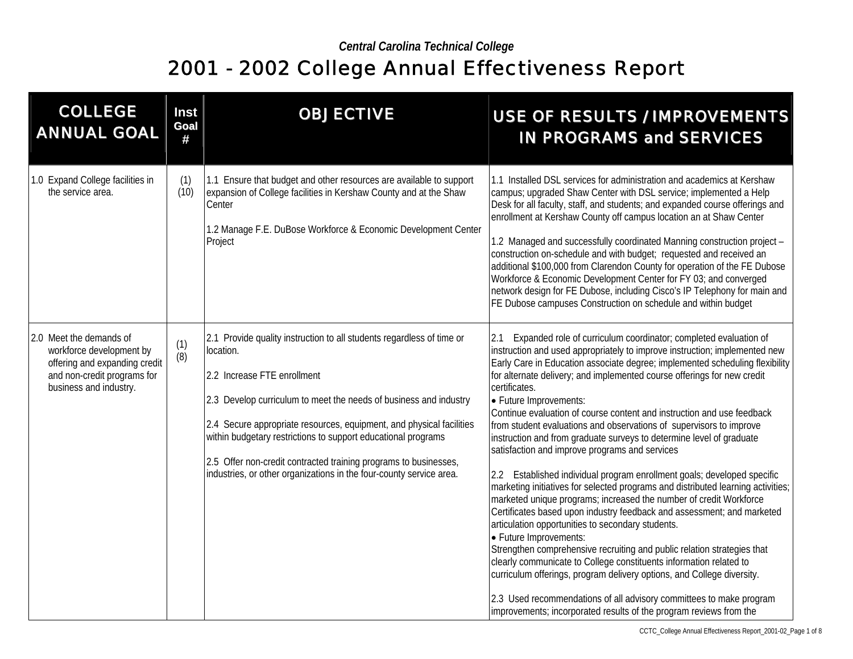| <b>COLLEGE</b><br><b>ANNUAL GOAL</b>                                                                                                          | Inst<br>Goal<br># | <b>OBJECTIVE</b>                                                                                                                                                                                                                                                                                                                                                                                                                                                           | <b>USE OF RESULTS / IMPROVEMENTS</b><br><b>IN PROGRAMS and SERVICES</b>                                                                                                                                                                                                                                                                                                                                                                                                                                                                                                                                                                                                                                                                                                                                                                                                                                                                                                                                                                                                                                                                                                                                                                                                                                                                                                                                      |
|-----------------------------------------------------------------------------------------------------------------------------------------------|-------------------|----------------------------------------------------------------------------------------------------------------------------------------------------------------------------------------------------------------------------------------------------------------------------------------------------------------------------------------------------------------------------------------------------------------------------------------------------------------------------|--------------------------------------------------------------------------------------------------------------------------------------------------------------------------------------------------------------------------------------------------------------------------------------------------------------------------------------------------------------------------------------------------------------------------------------------------------------------------------------------------------------------------------------------------------------------------------------------------------------------------------------------------------------------------------------------------------------------------------------------------------------------------------------------------------------------------------------------------------------------------------------------------------------------------------------------------------------------------------------------------------------------------------------------------------------------------------------------------------------------------------------------------------------------------------------------------------------------------------------------------------------------------------------------------------------------------------------------------------------------------------------------------------------|
| 1.0 Expand College facilities in<br>the service area.                                                                                         | (1)<br>(10)       | 1.1 Ensure that budget and other resources are available to support<br>expansion of College facilities in Kershaw County and at the Shaw<br>Center<br>1.2 Manage F.E. DuBose Workforce & Economic Development Center<br>Project                                                                                                                                                                                                                                            | 1.1 Installed DSL services for administration and academics at Kershaw<br>campus; upgraded Shaw Center with DSL service; implemented a Help<br>Desk for all faculty, staff, and students; and expanded course offerings and<br>enrollment at Kershaw County off campus location an at Shaw Center<br>1.2 Managed and successfully coordinated Manning construction project -<br>construction on-schedule and with budget; requested and received an<br>additional \$100,000 from Clarendon County for operation of the FE Dubose<br>Workforce & Economic Development Center for FY 03; and converged<br>network design for FE Dubose, including Cisco's IP Telephony for main and<br>FE Dubose campuses Construction on schedule and within budget                                                                                                                                                                                                                                                                                                                                                                                                                                                                                                                                                                                                                                                           |
| 2.0 Meet the demands of<br>workforce development by<br>offering and expanding credit<br>and non-credit programs for<br>business and industry. | $(1)$<br>$(8)$    | 2.1 Provide quality instruction to all students regardless of time or<br>location.<br>2.2 Increase FTE enrollment<br>2.3 Develop curriculum to meet the needs of business and industry<br>2.4 Secure appropriate resources, equipment, and physical facilities<br>within budgetary restrictions to support educational programs<br>2.5 Offer non-credit contracted training programs to businesses,<br>industries, or other organizations in the four-county service area. | Expanded role of curriculum coordinator; completed evaluation of<br>2.1<br>instruction and used appropriately to improve instruction; implemented new<br>Early Care in Education associate degree; implemented scheduling flexibility<br>for alternate delivery; and implemented course offerings for new credit<br>certificates.<br>• Future Improvements:<br>Continue evaluation of course content and instruction and use feedback<br>from student evaluations and observations of supervisors to improve<br>instruction and from graduate surveys to determine level of graduate<br>satisfaction and improve programs and services<br>2.2 Established individual program enrollment goals; developed specific<br>marketing initiatives for selected programs and distributed learning activities;<br>marketed unique programs; increased the number of credit Workforce<br>Certificates based upon industry feedback and assessment; and marketed<br>articulation opportunities to secondary students.<br>• Future Improvements:<br>Strengthen comprehensive recruiting and public relation strategies that<br>clearly communicate to College constituents information related to<br>curriculum offerings, program delivery options, and College diversity.<br>2.3 Used recommendations of all advisory committees to make program<br>improvements; incorporated results of the program reviews from the |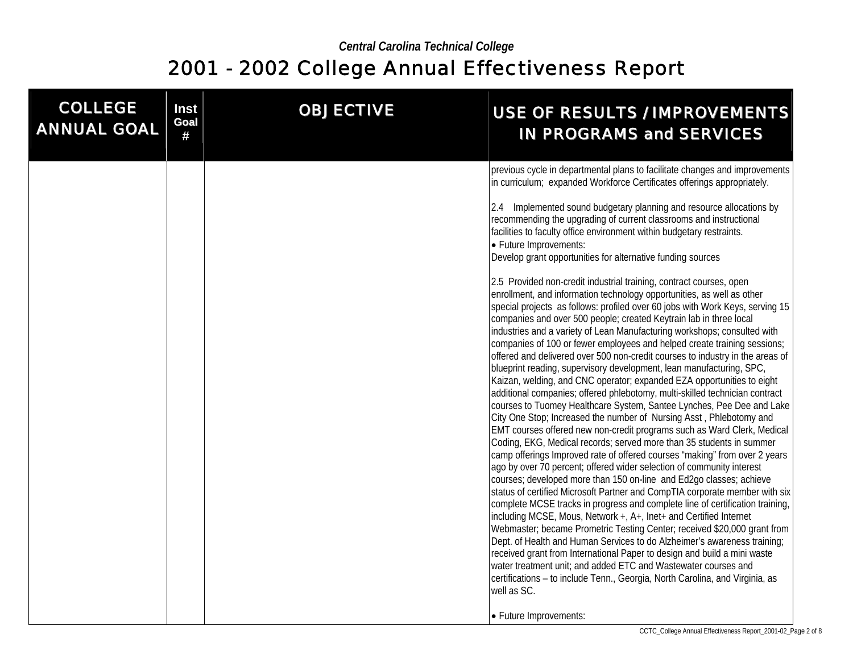| <b>COLLEGE</b><br><b>ANNUAL GOAL</b> | Inst<br><b>Goal</b><br># | <b>OBJECTIVE</b> | <b>USE OF RESULTS / IMPROVEMENTS</b><br><b>IN PROGRAMS and SERVICES</b>                                                                                                                                                                                                                                                                                                                                                                                                                                                                                                                                                                                                                                                                                                                                                                                                                                                                                                                                                                                                                                                                                                                                                                                                                                                                                                                                                                                                                                                                                                                                                                                                                                                                                                                  |
|--------------------------------------|--------------------------|------------------|------------------------------------------------------------------------------------------------------------------------------------------------------------------------------------------------------------------------------------------------------------------------------------------------------------------------------------------------------------------------------------------------------------------------------------------------------------------------------------------------------------------------------------------------------------------------------------------------------------------------------------------------------------------------------------------------------------------------------------------------------------------------------------------------------------------------------------------------------------------------------------------------------------------------------------------------------------------------------------------------------------------------------------------------------------------------------------------------------------------------------------------------------------------------------------------------------------------------------------------------------------------------------------------------------------------------------------------------------------------------------------------------------------------------------------------------------------------------------------------------------------------------------------------------------------------------------------------------------------------------------------------------------------------------------------------------------------------------------------------------------------------------------------------|
|                                      |                          |                  |                                                                                                                                                                                                                                                                                                                                                                                                                                                                                                                                                                                                                                                                                                                                                                                                                                                                                                                                                                                                                                                                                                                                                                                                                                                                                                                                                                                                                                                                                                                                                                                                                                                                                                                                                                                          |
|                                      |                          |                  | previous cycle in departmental plans to facilitate changes and improvements<br>in curriculum; expanded Workforce Certificates offerings appropriately.                                                                                                                                                                                                                                                                                                                                                                                                                                                                                                                                                                                                                                                                                                                                                                                                                                                                                                                                                                                                                                                                                                                                                                                                                                                                                                                                                                                                                                                                                                                                                                                                                                   |
|                                      |                          |                  | 2.4 Implemented sound budgetary planning and resource allocations by<br>recommending the upgrading of current classrooms and instructional<br>facilities to faculty office environment within budgetary restraints.<br>• Future Improvements:<br>Develop grant opportunities for alternative funding sources                                                                                                                                                                                                                                                                                                                                                                                                                                                                                                                                                                                                                                                                                                                                                                                                                                                                                                                                                                                                                                                                                                                                                                                                                                                                                                                                                                                                                                                                             |
|                                      |                          |                  | 2.5 Provided non-credit industrial training, contract courses, open<br>enrollment, and information technology opportunities, as well as other<br>special projects as follows: profiled over 60 jobs with Work Keys, serving 15<br>companies and over 500 people; created Keytrain lab in three local<br>industries and a variety of Lean Manufacturing workshops; consulted with<br>companies of 100 or fewer employees and helped create training sessions;<br>offered and delivered over 500 non-credit courses to industry in the areas of<br>blueprint reading, supervisory development, lean manufacturing, SPC,<br>Kaizan, welding, and CNC operator; expanded EZA opportunities to eight<br>additional companies; offered phlebotomy, multi-skilled technician contract<br>courses to Tuomey Healthcare System, Santee Lynches, Pee Dee and Lake<br>City One Stop; Increased the number of Nursing Asst, Phlebotomy and<br>EMT courses offered new non-credit programs such as Ward Clerk, Medical<br>Coding, EKG, Medical records; served more than 35 students in summer<br>camp offerings Improved rate of offered courses "making" from over 2 years<br>ago by over 70 percent; offered wider selection of community interest<br>courses; developed more than 150 on-line and Ed2go classes; achieve<br>status of certified Microsoft Partner and CompTIA corporate member with six<br>complete MCSE tracks in progress and complete line of certification training,<br>including MCSE, Mous, Network +, A+, Inet+ and Certified Internet<br>Webmaster; became Prometric Testing Center; received \$20,000 grant from<br>Dept. of Health and Human Services to do Alzheimer's awareness training;<br>received grant from International Paper to design and build a mini waste |
|                                      |                          |                  | water treatment unit; and added ETC and Wastewater courses and<br>certifications - to include Tenn., Georgia, North Carolina, and Virginia, as<br>well as SC.                                                                                                                                                                                                                                                                                                                                                                                                                                                                                                                                                                                                                                                                                                                                                                                                                                                                                                                                                                                                                                                                                                                                                                                                                                                                                                                                                                                                                                                                                                                                                                                                                            |
|                                      |                          |                  | • Future Improvements:                                                                                                                                                                                                                                                                                                                                                                                                                                                                                                                                                                                                                                                                                                                                                                                                                                                                                                                                                                                                                                                                                                                                                                                                                                                                                                                                                                                                                                                                                                                                                                                                                                                                                                                                                                   |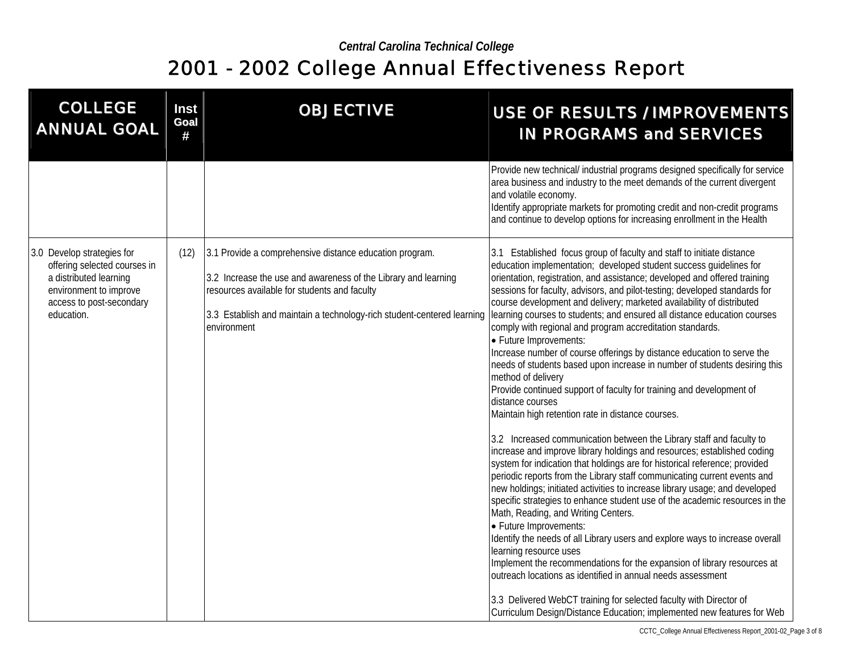| <b>COLLEGE</b><br><b>ANNUAL GOAL</b>                                                                                                                     | Inst<br>Goal<br># | <b>OBJECTIVE</b>                                                                                                                                                                                                                                                   | <b>USE OF RESULTS / IMPROVEMENTS</b><br><b>IN PROGRAMS and SERVICES</b>                                                                                                                                                                                                                                                                                                                                                                                                                                                                                                                                                                                                                                                                                                                                                                                                                                                                                                                                                                                                                                                                                                                                                                                                                                                                                                                                                                                                                                                                                                                                                                                                                                                                                                                                                          |
|----------------------------------------------------------------------------------------------------------------------------------------------------------|-------------------|--------------------------------------------------------------------------------------------------------------------------------------------------------------------------------------------------------------------------------------------------------------------|----------------------------------------------------------------------------------------------------------------------------------------------------------------------------------------------------------------------------------------------------------------------------------------------------------------------------------------------------------------------------------------------------------------------------------------------------------------------------------------------------------------------------------------------------------------------------------------------------------------------------------------------------------------------------------------------------------------------------------------------------------------------------------------------------------------------------------------------------------------------------------------------------------------------------------------------------------------------------------------------------------------------------------------------------------------------------------------------------------------------------------------------------------------------------------------------------------------------------------------------------------------------------------------------------------------------------------------------------------------------------------------------------------------------------------------------------------------------------------------------------------------------------------------------------------------------------------------------------------------------------------------------------------------------------------------------------------------------------------------------------------------------------------------------------------------------------------|
|                                                                                                                                                          |                   |                                                                                                                                                                                                                                                                    | Provide new technical/ industrial programs designed specifically for service<br>area business and industry to the meet demands of the current divergent<br>and volatile economy.<br>Identify appropriate markets for promoting credit and non-credit programs<br>and continue to develop options for increasing enrollment in the Health                                                                                                                                                                                                                                                                                                                                                                                                                                                                                                                                                                                                                                                                                                                                                                                                                                                                                                                                                                                                                                                                                                                                                                                                                                                                                                                                                                                                                                                                                         |
| 3.0 Develop strategies for<br>offering selected courses in<br>a distributed learning<br>environment to improve<br>access to post-secondary<br>education. | (12)              | 3.1 Provide a comprehensive distance education program.<br>3.2 Increase the use and awareness of the Library and learning<br>resources available for students and faculty<br>3.3 Establish and maintain a technology-rich student-centered learning<br>environment | 3.1 Established focus group of faculty and staff to initiate distance<br>education implementation; developed student success quidelines for<br>orientation, registration, and assistance; developed and offered training<br>sessions for faculty, advisors, and pilot-testing; developed standards for<br>course development and delivery; marketed availability of distributed<br>learning courses to students; and ensured all distance education courses<br>comply with regional and program accreditation standards.<br>• Future Improvements:<br>Increase number of course offerings by distance education to serve the<br>needs of students based upon increase in number of students desiring this<br>method of delivery<br>Provide continued support of faculty for training and development of<br>distance courses<br>Maintain high retention rate in distance courses.<br>3.2 Increased communication between the Library staff and faculty to<br>increase and improve library holdings and resources; established coding<br>system for indication that holdings are for historical reference; provided<br>periodic reports from the Library staff communicating current events and<br>new holdings; initiated activities to increase library usage; and developed<br>specific strategies to enhance student use of the academic resources in the<br>Math, Reading, and Writing Centers.<br>• Future Improvements:<br>Identify the needs of all Library users and explore ways to increase overall<br>learning resource uses<br>Implement the recommendations for the expansion of library resources at<br>outreach locations as identified in annual needs assessment<br>3.3 Delivered WebCT training for selected faculty with Director of<br>Curriculum Design/Distance Education; implemented new features for Web |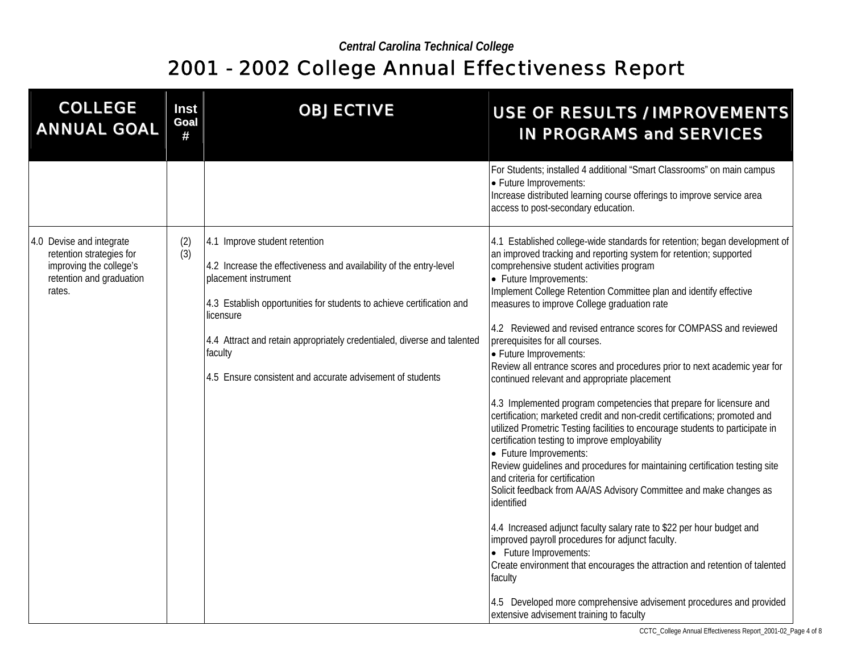| <b>COLLEGE</b><br><b>ANNUAL GOAL</b>                                                                                  | <b>Inst</b><br>Goal<br># | <b>OBJECTIVE</b>                                                                                                                                                                                                                                                                                                                                                     | <b>USE OF RESULTS / IMPROVEMENTS</b><br><b>IN PROGRAMS and SERVICES</b>                                                                                                                                                                                                                                                                                                                                                                                                                                                                                                                                                                                                                                                                                                                                                                                                                                                                                                                                                                                                                                                                                                                                                                                                                                                                                                                                                                                                                             |
|-----------------------------------------------------------------------------------------------------------------------|--------------------------|----------------------------------------------------------------------------------------------------------------------------------------------------------------------------------------------------------------------------------------------------------------------------------------------------------------------------------------------------------------------|-----------------------------------------------------------------------------------------------------------------------------------------------------------------------------------------------------------------------------------------------------------------------------------------------------------------------------------------------------------------------------------------------------------------------------------------------------------------------------------------------------------------------------------------------------------------------------------------------------------------------------------------------------------------------------------------------------------------------------------------------------------------------------------------------------------------------------------------------------------------------------------------------------------------------------------------------------------------------------------------------------------------------------------------------------------------------------------------------------------------------------------------------------------------------------------------------------------------------------------------------------------------------------------------------------------------------------------------------------------------------------------------------------------------------------------------------------------------------------------------------------|
|                                                                                                                       |                          |                                                                                                                                                                                                                                                                                                                                                                      | For Students; installed 4 additional "Smart Classrooms" on main campus<br>• Future Improvements:<br>Increase distributed learning course offerings to improve service area<br>access to post-secondary education.                                                                                                                                                                                                                                                                                                                                                                                                                                                                                                                                                                                                                                                                                                                                                                                                                                                                                                                                                                                                                                                                                                                                                                                                                                                                                   |
| 4.0 Devise and integrate<br>retention strategies for<br>improving the college's<br>retention and graduation<br>rates. | (2)<br>(3)               | 4.1 Improve student retention<br>4.2 Increase the effectiveness and availability of the entry-level<br>placement instrument<br>4.3 Establish opportunities for students to achieve certification and<br>licensure<br>4.4 Attract and retain appropriately credentialed, diverse and talented<br>faculty<br>4.5 Ensure consistent and accurate advisement of students | 4.1 Established college-wide standards for retention; began development of<br>an improved tracking and reporting system for retention; supported<br>comprehensive student activities program<br>• Future Improvements:<br>Implement College Retention Committee plan and identify effective<br>measures to improve College graduation rate<br>4.2 Reviewed and revised entrance scores for COMPASS and reviewed<br>prerequisites for all courses.<br>• Future Improvements:<br>Review all entrance scores and procedures prior to next academic year for<br>continued relevant and appropriate placement<br>4.3 Implemented program competencies that prepare for licensure and<br>certification; marketed credit and non-credit certifications; promoted and<br>utilized Prometric Testing facilities to encourage students to participate in<br>certification testing to improve employability<br>• Future Improvements:<br>Review guidelines and procedures for maintaining certification testing site<br>and criteria for certification<br>Solicit feedback from AA/AS Advisory Committee and make changes as<br>identified<br>4.4 Increased adjunct faculty salary rate to \$22 per hour budget and<br>improved payroll procedures for adjunct faculty.<br>• Future Improvements:<br>Create environment that encourages the attraction and retention of talented<br>faculty<br>4.5 Developed more comprehensive advisement procedures and provided<br>extensive advisement training to faculty |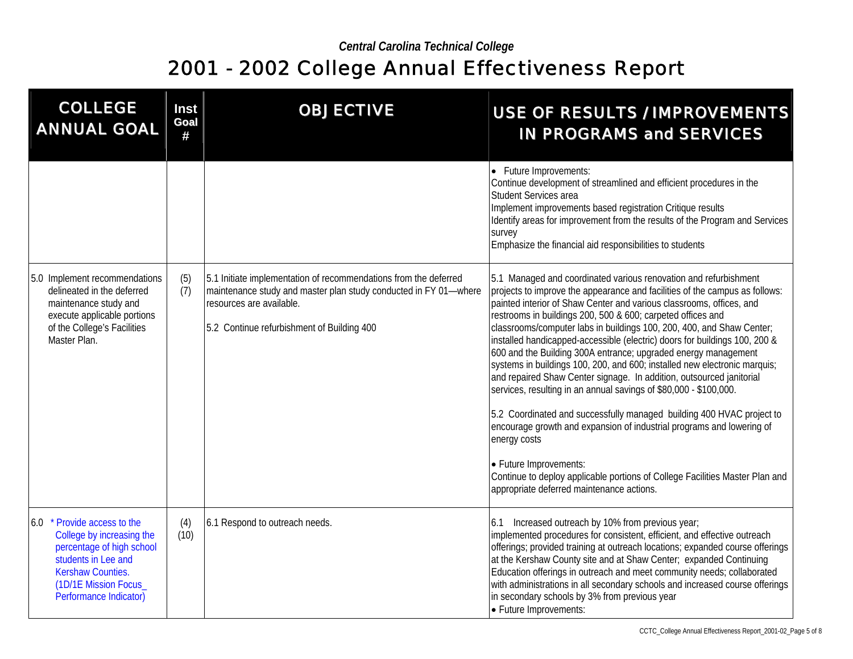| <b>COLLEGE</b><br><b>ANNUAL GOAL</b>                                                                                                                                                 | Inst<br>Goal<br># | <b>OBJECTIVE</b>                                                                                                                                                                                               | <b>USE OF RESULTS / IMPROVEMENTS</b><br><b>IN PROGRAMS and SERVICES</b>                                                                                                                                                                                                                                                                                                                                                                                                                                                                                                                                                                                                                                                                                                                                                                                                                                                                                                                                                                                            |
|--------------------------------------------------------------------------------------------------------------------------------------------------------------------------------------|-------------------|----------------------------------------------------------------------------------------------------------------------------------------------------------------------------------------------------------------|--------------------------------------------------------------------------------------------------------------------------------------------------------------------------------------------------------------------------------------------------------------------------------------------------------------------------------------------------------------------------------------------------------------------------------------------------------------------------------------------------------------------------------------------------------------------------------------------------------------------------------------------------------------------------------------------------------------------------------------------------------------------------------------------------------------------------------------------------------------------------------------------------------------------------------------------------------------------------------------------------------------------------------------------------------------------|
|                                                                                                                                                                                      |                   |                                                                                                                                                                                                                | • Future Improvements:<br>Continue development of streamlined and efficient procedures in the<br>Student Services area<br>Implement improvements based registration Critique results<br>Identify areas for improvement from the results of the Program and Services<br>survey<br>Emphasize the financial aid responsibilities to students                                                                                                                                                                                                                                                                                                                                                                                                                                                                                                                                                                                                                                                                                                                          |
| 5.0 Implement recommendations<br>delineated in the deferred<br>maintenance study and<br>execute applicable portions<br>of the College's Facilities<br>Master Plan.                   | (5)<br>(7)        | 5.1 Initiate implementation of recommendations from the deferred<br>maintenance study and master plan study conducted in FY 01-where<br>resources are available.<br>5.2 Continue refurbishment of Building 400 | 5.1 Managed and coordinated various renovation and refurbishment<br>projects to improve the appearance and facilities of the campus as follows:<br>painted interior of Shaw Center and various classrooms, offices, and<br>restrooms in buildings 200, 500 & 600; carpeted offices and<br>classrooms/computer labs in buildings 100, 200, 400, and Shaw Center;<br>installed handicapped-accessible (electric) doors for buildings 100, 200 &<br>600 and the Building 300A entrance; upgraded energy management<br>systems in buildings 100, 200, and 600; installed new electronic marquis;<br>and repaired Shaw Center signage. In addition, outsourced janitorial<br>services, resulting in an annual savings of \$80,000 - \$100,000.<br>5.2 Coordinated and successfully managed building 400 HVAC project to<br>encourage growth and expansion of industrial programs and lowering of<br>energy costs<br>• Future Improvements:<br>Continue to deploy applicable portions of College Facilities Master Plan and<br>appropriate deferred maintenance actions. |
| 6.0 * Provide access to the<br>College by increasing the<br>percentage of high school<br>students in Lee and<br>Kershaw Counties.<br>(1D/1E Mission Focus_<br>Performance Indicator) | (4)<br>(10)       | 6.1 Respond to outreach needs.                                                                                                                                                                                 | 6.1 Increased outreach by 10% from previous year;<br>implemented procedures for consistent, efficient, and effective outreach<br>offerings; provided training at outreach locations; expanded course offerings<br>at the Kershaw County site and at Shaw Center; expanded Continuing<br>Education offerings in outreach and meet community needs; collaborated<br>with administrations in all secondary schools and increased course offerings<br>in secondary schools by 3% from previous year<br>• Future Improvements:                                                                                                                                                                                                                                                                                                                                                                                                                                                                                                                                          |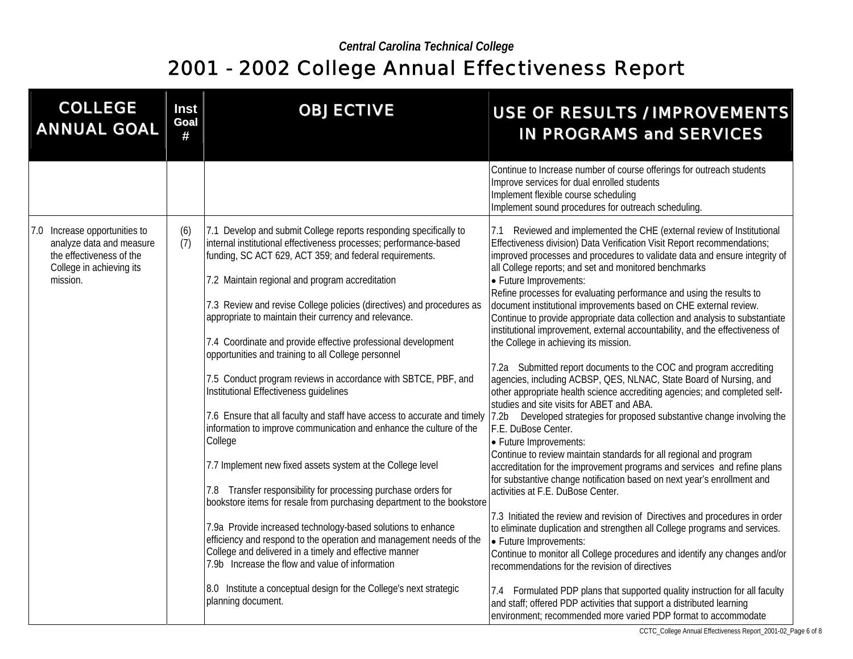| <b>COLLEGE</b><br><b>ANNUAL GOAL</b>                                                                                          | Inst<br>Goal<br># | <b>OBJECTIVE</b>                                                                                                                                                                                                                                                                                                                                                                                                                                                                                                                                                                                                                                                                                                                                                                                                                                                                                                       | <b>USE OF RESULTS / IMPROVEMENTS</b><br><b>IN PROGRAMS and SERVICES</b>                                                                                                                                                                                                                                                                                                                                                                                                                                                                                                                                                                                                                                                                                                                                                                                                                                                                                                                                                                                                                                                                                                                                                                                                                                                                                                                                                  |
|-------------------------------------------------------------------------------------------------------------------------------|-------------------|------------------------------------------------------------------------------------------------------------------------------------------------------------------------------------------------------------------------------------------------------------------------------------------------------------------------------------------------------------------------------------------------------------------------------------------------------------------------------------------------------------------------------------------------------------------------------------------------------------------------------------------------------------------------------------------------------------------------------------------------------------------------------------------------------------------------------------------------------------------------------------------------------------------------|--------------------------------------------------------------------------------------------------------------------------------------------------------------------------------------------------------------------------------------------------------------------------------------------------------------------------------------------------------------------------------------------------------------------------------------------------------------------------------------------------------------------------------------------------------------------------------------------------------------------------------------------------------------------------------------------------------------------------------------------------------------------------------------------------------------------------------------------------------------------------------------------------------------------------------------------------------------------------------------------------------------------------------------------------------------------------------------------------------------------------------------------------------------------------------------------------------------------------------------------------------------------------------------------------------------------------------------------------------------------------------------------------------------------------|
|                                                                                                                               |                   |                                                                                                                                                                                                                                                                                                                                                                                                                                                                                                                                                                                                                                                                                                                                                                                                                                                                                                                        | Continue to Increase number of course offerings for outreach students<br>Improve services for dual enrolled students<br>Implement flexible course scheduling<br>Implement sound procedures for outreach scheduling.                                                                                                                                                                                                                                                                                                                                                                                                                                                                                                                                                                                                                                                                                                                                                                                                                                                                                                                                                                                                                                                                                                                                                                                                      |
| 7.0 Increase opportunities to<br>analyze data and measure<br>the effectiveness of the<br>College in achieving its<br>mission. | (6)<br>(7)        | 7.1 Develop and submit College reports responding specifically to<br>internal institutional effectiveness processes; performance-based<br>funding, SC ACT 629, ACT 359; and federal requirements.<br>7.2 Maintain regional and program accreditation<br>7.3 Review and revise College policies (directives) and procedures as<br>appropriate to maintain their currency and relevance.<br>7.4 Coordinate and provide effective professional development<br>opportunities and training to all College personnel<br>7.5 Conduct program reviews in accordance with SBTCE, PBF, and<br>Institutional Effectiveness guidelines<br>information to improve communication and enhance the culture of the<br>College<br>7.7 Implement new fixed assets system at the College level<br>7.8 Transfer responsibility for processing purchase orders for<br>bookstore items for resale from purchasing department to the bookstore | 7.1 Reviewed and implemented the CHE (external review of Institutional<br>Effectiveness division) Data Verification Visit Report recommendations;<br>improved processes and procedures to validate data and ensure integrity of<br>all College reports; and set and monitored benchmarks<br>• Future Improvements:<br>Refine processes for evaluating performance and using the results to<br>document institutional improvements based on CHE external review.<br>Continue to provide appropriate data collection and analysis to substantiate<br>institutional improvement, external accountability, and the effectiveness of<br>the College in achieving its mission.<br>7.2a Submitted report documents to the COC and program accrediting<br>agencies, including ACBSP, QES, NLNAC, State Board of Nursing, and<br>other appropriate health science accrediting agencies; and completed self-<br>studies and site visits for ABET and ABA.<br>7.6 Ensure that all faculty and staff have access to accurate and timely   7.2b Developed strategies for proposed substantive change involving the<br>F.E. DuBose Center.<br>• Future Improvements:<br>Continue to review maintain standards for all regional and program<br>accreditation for the improvement programs and services and refine plans<br>for substantive change notification based on next year's enrollment and<br>activities at F.E. DuBose Center. |
|                                                                                                                               |                   | 7.9a Provide increased technology-based solutions to enhance<br>efficiency and respond to the operation and management needs of the<br>College and delivered in a timely and effective manner<br>7.9b Increase the flow and value of information<br>8.0 Institute a conceptual design for the College's next strategic                                                                                                                                                                                                                                                                                                                                                                                                                                                                                                                                                                                                 | 7.3 Initiated the review and revision of Directives and procedures in order<br>to eliminate duplication and strengthen all College programs and services.<br>• Future Improvements:<br>Continue to monitor all College procedures and identify any changes and/or<br>recommendations for the revision of directives<br>7.4 Formulated PDP plans that supported quality instruction for all faculty                                                                                                                                                                                                                                                                                                                                                                                                                                                                                                                                                                                                                                                                                                                                                                                                                                                                                                                                                                                                                       |
|                                                                                                                               |                   | planning document.                                                                                                                                                                                                                                                                                                                                                                                                                                                                                                                                                                                                                                                                                                                                                                                                                                                                                                     | and staff; offered PDP activities that support a distributed learning<br>environment; recommended more varied PDP format to accommodate                                                                                                                                                                                                                                                                                                                                                                                                                                                                                                                                                                                                                                                                                                                                                                                                                                                                                                                                                                                                                                                                                                                                                                                                                                                                                  |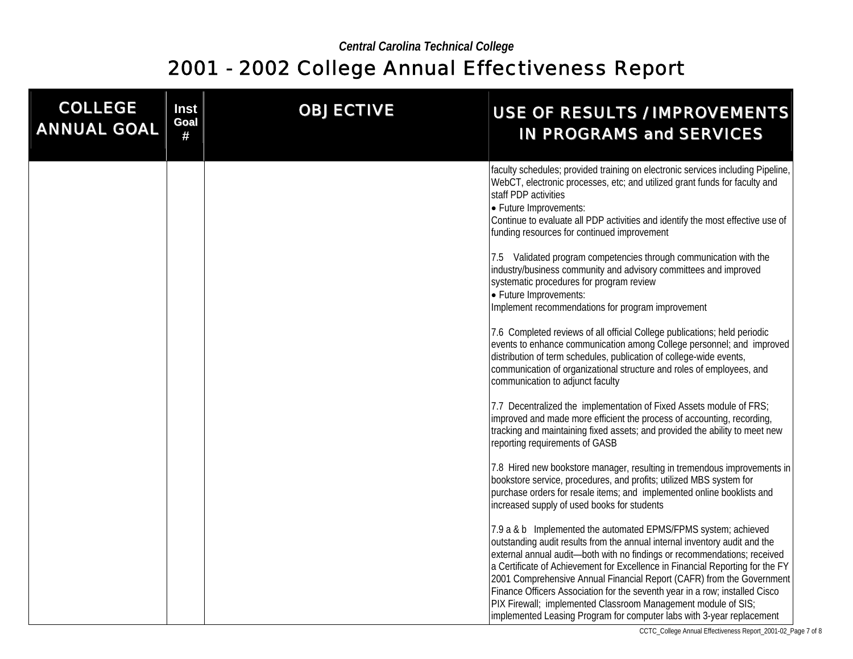| <b>COLLEGE</b><br><b>ANNUAL GOAL</b> | <b>Inst</b><br>Goal<br># | <b>OBJECTIVE</b> | USE OF RESULTS / IMPROVEMENTS<br><b>IN PROGRAMS and SERVICES</b>                                                                                                                                                                                                                                                                                                                                                                                                                                                                                                                                            |
|--------------------------------------|--------------------------|------------------|-------------------------------------------------------------------------------------------------------------------------------------------------------------------------------------------------------------------------------------------------------------------------------------------------------------------------------------------------------------------------------------------------------------------------------------------------------------------------------------------------------------------------------------------------------------------------------------------------------------|
|                                      |                          |                  | faculty schedules; provided training on electronic services including Pipeline,<br>WebCT, electronic processes, etc; and utilized grant funds for faculty and<br>staff PDP activities<br>• Future Improvements:<br>Continue to evaluate all PDP activities and identify the most effective use of<br>funding resources for continued improvement                                                                                                                                                                                                                                                            |
|                                      |                          |                  | 7.5 Validated program competencies through communication with the<br>industry/business community and advisory committees and improved<br>systematic procedures for program review<br>• Future Improvements:<br>Implement recommendations for program improvement                                                                                                                                                                                                                                                                                                                                            |
|                                      |                          |                  | 7.6 Completed reviews of all official College publications; held periodic<br>events to enhance communication among College personnel; and improved<br>distribution of term schedules, publication of college-wide events,<br>communication of organizational structure and roles of employees, and<br>communication to adjunct faculty                                                                                                                                                                                                                                                                      |
|                                      |                          |                  | 7.7 Decentralized the implementation of Fixed Assets module of FRS;<br>improved and made more efficient the process of accounting, recording,<br>tracking and maintaining fixed assets; and provided the ability to meet new<br>reporting requirements of GASB                                                                                                                                                                                                                                                                                                                                              |
|                                      |                          |                  | 7.8 Hired new bookstore manager, resulting in tremendous improvements in<br>bookstore service, procedures, and profits; utilized MBS system for<br>purchase orders for resale items; and implemented online booklists and<br>increased supply of used books for students                                                                                                                                                                                                                                                                                                                                    |
|                                      |                          |                  | 7.9 a & b Implemented the automated EPMS/FPMS system; achieved<br>outstanding audit results from the annual internal inventory audit and the<br>external annual audit-both with no findings or recommendations; received<br>a Certificate of Achievement for Excellence in Financial Reporting for the FY<br>2001 Comprehensive Annual Financial Report (CAFR) from the Government<br>Finance Officers Association for the seventh year in a row; installed Cisco<br>PIX Firewall; implemented Classroom Management module of SIS;<br>implemented Leasing Program for computer labs with 3-year replacement |